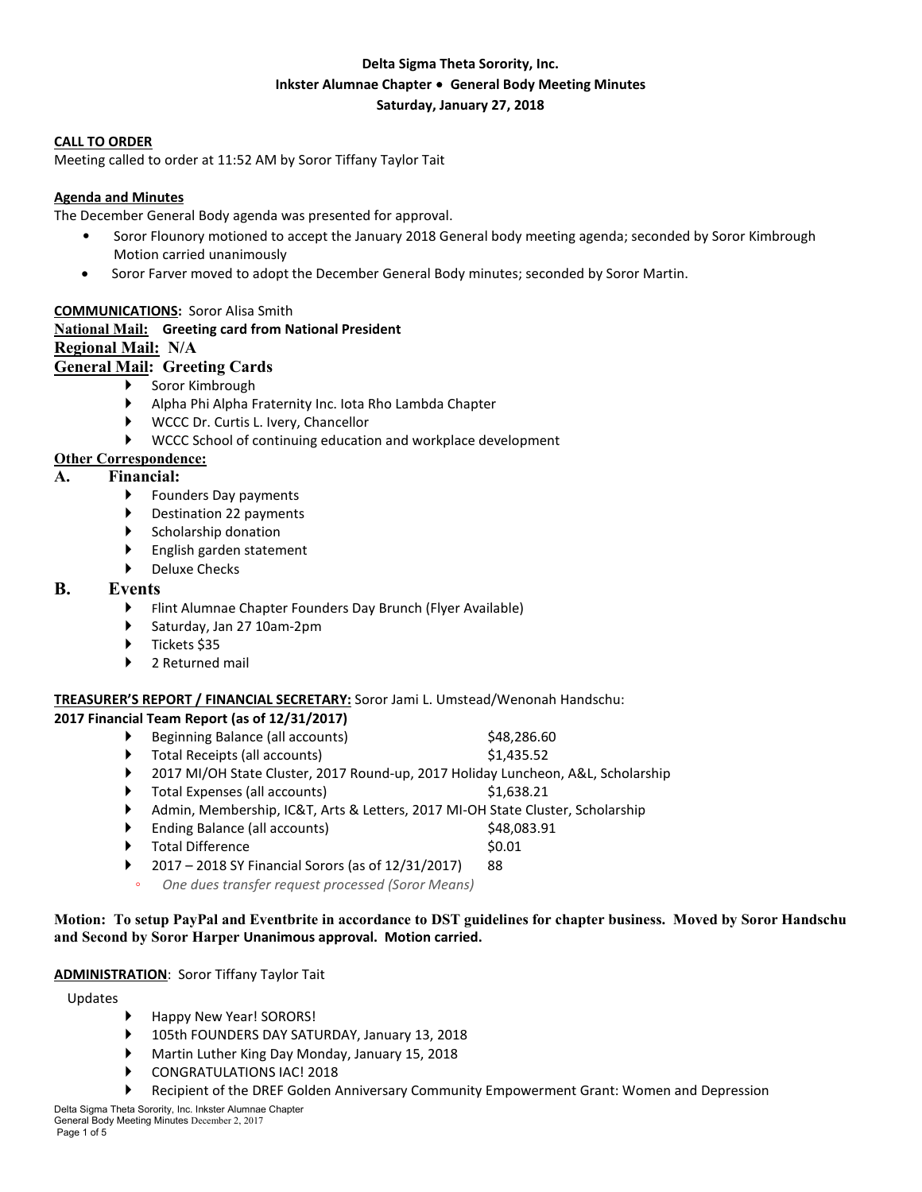## **Delta Sigma Theta Sorority, Inc. Inkster Alumnae Chapter** ∙ **General Body Meeting Minutes Saturday, January 27, 2018**

#### **CALL TO ORDER**

Meeting called to order at 11:52 AM by Soror Tiffany Taylor Tait

#### **Agenda and Minutes**

The December General Body agenda was presented for approval.

- Soror Flounory motioned to accept the January 2018 General body meeting agenda; seconded by Soror Kimbrough Motion carried unanimously
- Soror Farver moved to adopt the December General Body minutes; seconded by Soror Martin.

#### **COMMUNICATIONS:** Soror Alisa Smith

#### **National Mail: Greeting card from National President Regional Mail: N/A**

# **General Mail: Greeting Cards**

- Soror Kimbrough
	-
	- Alpha Phi Alpha Fraternity Inc. Iota Rho Lambda Chapter
	- WCCC Dr. Curtis L. Ivery, Chancellor
	- WCCC School of continuing education and workplace development

#### **Other Correspondence:**

#### **A. Financial:**

- ▶ Founders Day payments
- Destination 22 payments
- Scholarship donation
- English garden statement
- Deluxe Checks

#### **B. Events**

- Flint Alumnae Chapter Founders Day Brunch (Flyer Available)
- Saturday, Jan 27 10am-2pm
- Tickets \$35
- 2 Returned mail

## **TREASURER'S REPORT / FINANCIAL SECRETARY:** Soror Jami L. Umstead/Wenonah Handschu:

#### **2017 Financial Team Report (as of 12/31/2017)**

- Beginning Balance (all accounts) \$48,286.60
- ▶ Total Receipts (all accounts) \$1,435.52
- ▶ 2017 MI/OH State Cluster, 2017 Round-up, 2017 Holiday Luncheon, A&L, Scholarship
- Total Expenses (all accounts)  $$1,638.21$
- Admin, Membership, IC&T, Arts & Letters, 2017 MI-OH State Cluster, Scholarship
- Ending Balance (all accounts)  $$48,083.91$
- Total Difference \$0.01
- 2017 2018 SY Financial Sorors (as of 12/31/2017) 88
- *One dues transfer request processed (Soror Means)*

## Motion: To setup PayPal and Eventbrite in accordance to DST guidelines for chapter business. Moved by Soror Handschu **and Second by Soror Harper Unanimous approval. Motion carried.**

# **ADMINISTRATION**: Soror Tiffany Taylor Tait

Updates

- Happy New Year! SORORS!
- 105th FOUNDERS DAY SATURDAY, January 13, 2018
- Martin Luther King Day Monday, January 15, 2018
- CONGRATULATIONS IAC! 2018
- Recipient of the DREF Golden Anniversary Community Empowerment Grant: Women and Depression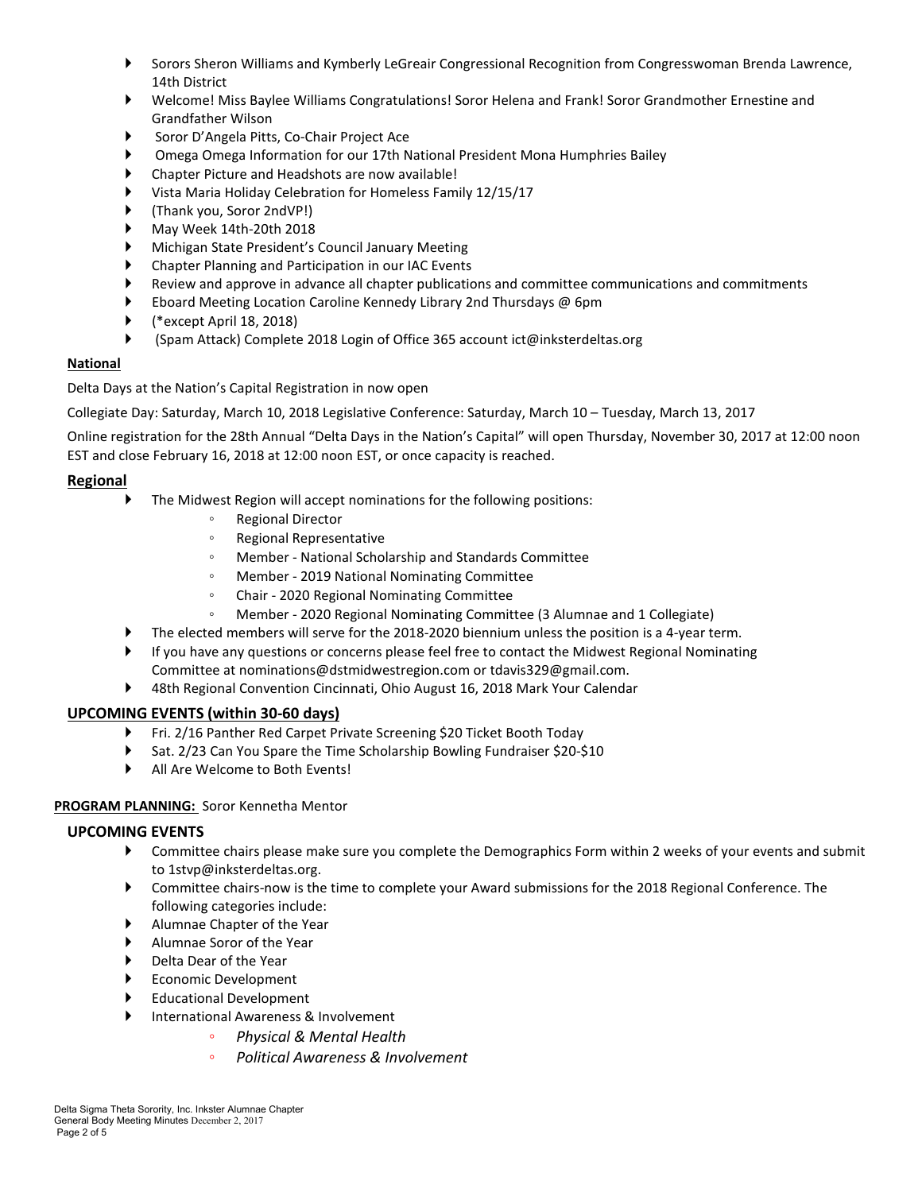- Sorors Sheron Williams and Kymberly LeGreair Congressional Recognition from Congresswoman Brenda Lawrence, 14th District
- Welcome! Miss Baylee Williams Congratulations! Soror Helena and Frank! Soror Grandmother Ernestine and Grandfather Wilson
- Soror D'Angela Pitts, Co-Chair Project Ace
- Omega Omega Information for our 17th National President Mona Humphries Bailey
- Chapter Picture and Headshots are now available!
- Vista Maria Holiday Celebration for Homeless Family 12/15/17
- (Thank you, Soror 2ndVP!)
- May Week 14th-20th 2018
- Michigan State President's Council January Meeting
- Chapter Planning and Participation in our IAC Events
- Review and approve in advance all chapter publications and committee communications and commitments
- Eboard Meeting Location Caroline Kennedy Library 2nd Thursdays @ 6pm
- (\*except April 18, 2018)
- (Spam Attack) Complete 2018 Login of Office 365 account ict@inksterdeltas.org

## **National**

Delta Days at the Nation's Capital Registration in now open

Collegiate Day: Saturday, March 10, 2018 Legislative Conference: Saturday, March 10 – Tuesday, March 13, 2017

Online registration for the 28th Annual "Delta Days in the Nation's Capital" will open Thursday, November 30, 2017 at 12:00 noon EST and close February 16, 2018 at 12:00 noon EST, or once capacity is reached.

# **Regional**

- The Midwest Region will accept nominations for the following positions:
	- Regional Director
	- Regional Representative
	- Member National Scholarship and Standards Committee
	- Member 2019 National Nominating Committee
	- Chair 2020 Regional Nominating Committee
	- Member 2020 Regional Nominating Committee (3 Alumnae and 1 Collegiate)
- The elected members will serve for the 2018-2020 biennium unless the position is a 4-year term.
- If you have any questions or concerns please feel free to contact the Midwest Regional Nominating Committee at nominations@dstmidwestregion.com or tdavis329@gmail.com.
- 48th Regional Convention Cincinnati, Ohio August 16, 2018 Mark Your Calendar

## **UPCOMING EVENTS (within 30-60 days)**

- ▶ Fri. 2/16 Panther Red Carpet Private Screening \$20 Ticket Booth Today
- Sat. 2/23 Can You Spare the Time Scholarship Bowling Fundraiser \$20-\$10
- All Are Welcome to Both Events!

## **PROGRAM PLANNING:** Soror Kennetha Mentor

## **UPCOMING EVENTS**

- Committee chairs please make sure you complete the Demographics Form within 2 weeks of your events and submit to 1stvp@inksterdeltas.org.
- Committee chairs-now is the time to complete your Award submissions for the 2018 Regional Conference. The following categories include:
- Alumnae Chapter of the Year
- Alumnae Soror of the Year
- Delta Dear of the Year
- Economic Development
- Educational Development
- International Awareness & Involvement
	- *Physical & Mental Health* 
		- *Political Awareness & Involvement*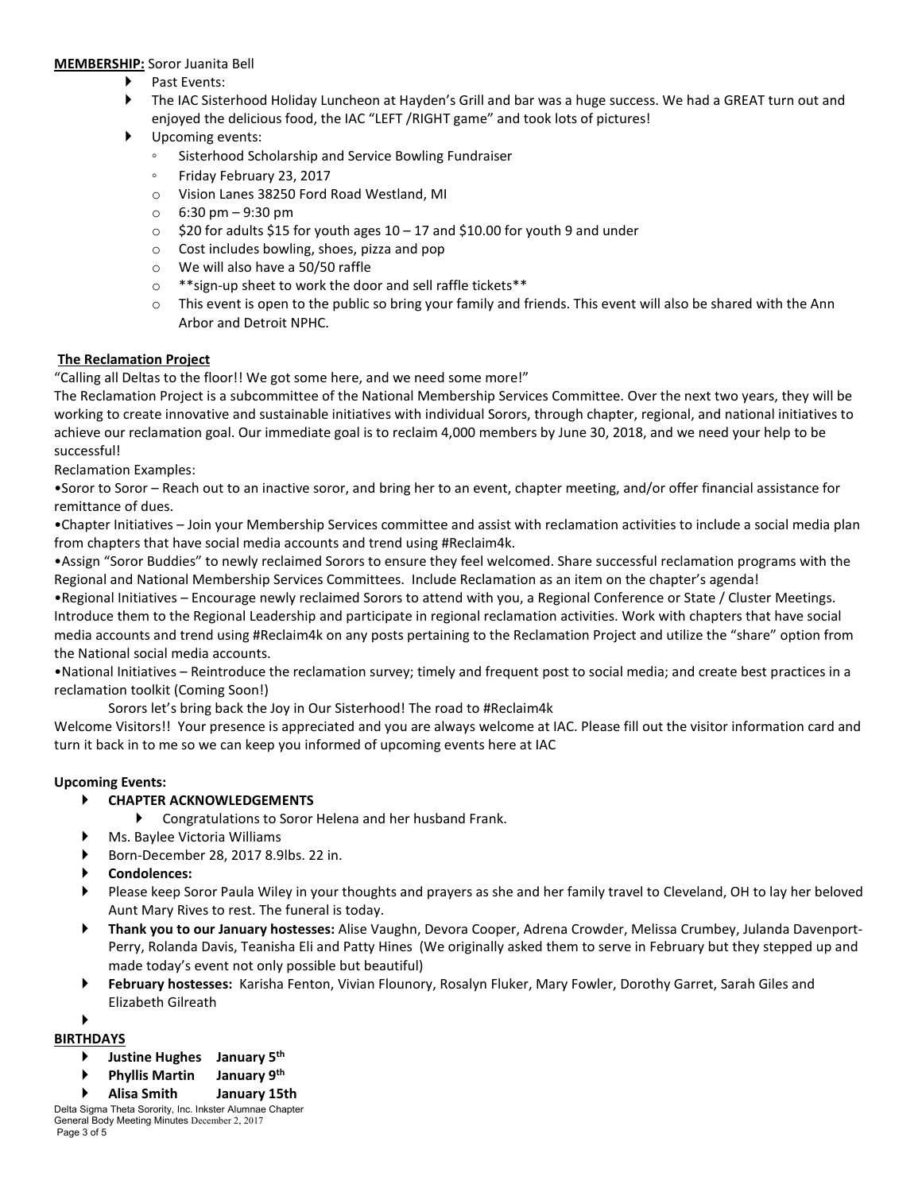#### **MEMBERSHIP:** Soror Juanita Bell

- Past Events:
- The IAC Sisterhood Holiday Luncheon at Hayden's Grill and bar was a huge success. We had a GREAT turn out and enjoyed the delicious food, the IAC "LEFT /RIGHT game" and took lots of pictures!
- Upcoming events:
	- Sisterhood Scholarship and Service Bowling Fundraiser
	- Friday February 23, 2017
	- o Vision Lanes 38250 Ford Road Westland, MI
	- $\circ$  6:30 pm 9:30 pm
	- o \$20 for adults \$15 for youth ages 10 17 and \$10.00 for youth 9 and under
	- o Cost includes bowling, shoes, pizza and pop
	- o We will also have a 50/50 raffle
	- o \*\*sign-up sheet to work the door and sell raffle tickets\*\*
	- $\circ$  This event is open to the public so bring your family and friends. This event will also be shared with the Ann Arbor and Detroit NPHC.

#### **The Reclamation Project**

"Calling all Deltas to the floor!! We got some here, and we need some more!"

The Reclamation Project is a subcommittee of the National Membership Services Committee. Over the next two years, they will be working to create innovative and sustainable initiatives with individual Sorors, through chapter, regional, and national initiatives to achieve our reclamation goal. Our immediate goal is to reclaim 4,000 members by June 30, 2018, and we need your help to be successful!

Reclamation Examples:

•Soror to Soror – Reach out to an inactive soror, and bring her to an event, chapter meeting, and/or offer financial assistance for remittance of dues.

•Chapter Initiatives – Join your Membership Services committee and assist with reclamation activities to include a social media plan from chapters that have social media accounts and trend using #Reclaim4k.

•Assign "Soror Buddies" to newly reclaimed Sorors to ensure they feel welcomed. Share successful reclamation programs with the Regional and National Membership Services Committees. Include Reclamation as an item on the chapter's agenda!

•Regional Initiatives – Encourage newly reclaimed Sorors to attend with you, a Regional Conference or State / Cluster Meetings. Introduce them to the Regional Leadership and participate in regional reclamation activities. Work with chapters that have social media accounts and trend using #Reclaim4k on any posts pertaining to the Reclamation Project and utilize the "share" option from the National social media accounts.

•National Initiatives – Reintroduce the reclamation survey; timely and frequent post to social media; and create best practices in a reclamation toolkit (Coming Soon!)

Sorors let's bring back the Joy in Our Sisterhood! The road to #Reclaim4k

Welcome Visitors!! Your presence is appreciated and you are always welcome at IAC. Please fill out the visitor information card and turn it back in to me so we can keep you informed of upcoming events here at IAC

#### **Upcoming Events:**

- **CHAPTER ACKNOWLEDGEMENTS**
	- Congratulations to Soror Helena and her husband Frank.
	- Ms. Baylee Victoria Williams
- Born-December 28, 2017 8.9lbs. 22 in.
- **Condolences:**
- Please keep Soror Paula Wiley in your thoughts and prayers as she and her family travel to Cleveland, OH to lay her beloved Aunt Mary Rives to rest. The funeral is today.
- **Thank you to our January hostesses:** Alise Vaughn, Devora Cooper, Adrena Crowder, Melissa Crumbey, Julanda Davenport-Perry, Rolanda Davis, Teanisha Eli and Patty Hines (We originally asked them to serve in February but they stepped up and made today's event not only possible but beautiful)
- **February hostesses:** Karisha Fenton, Vivian Flounory, Rosalyn Fluker, Mary Fowler, Dorothy Garret, Sarah Giles and Elizabeth Gilreath

#### ▶ **BIRTHDAYS**

- **Justine Hughes January 5th**
- **Phyllis Martin January 9th**
- **Alisa Smith January 15th**

Delta Sigma Theta Sorority, Inc. Inkster Alumnae Chapter General Body Meeting Minutes December 2, 2017 Page 3 of 5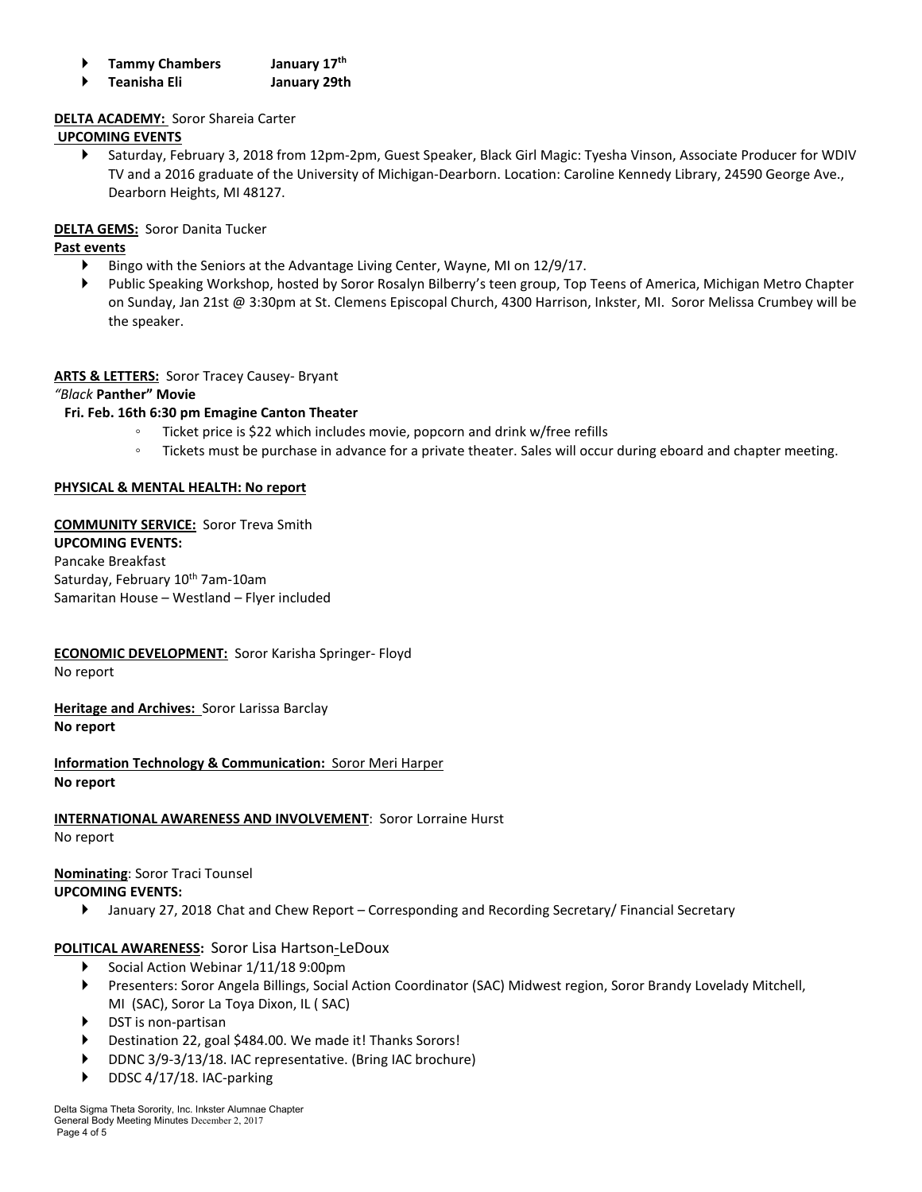|  | <b>Tammy Chambers</b> | January 17th |
|--|-----------------------|--------------|
|--|-----------------------|--------------|

**Teanisha Eli January 29th**

## **DELTA ACADEMY:** Soror Shareia Carter

## **UPCOMING EVENTS**

 Saturday, February 3, 2018 from 12pm-2pm, Guest Speaker, Black Girl Magic: Tyesha Vinson, Associate Producer for WDIV TV and a 2016 graduate of the University of Michigan-Dearborn. Location: Caroline Kennedy Library, 24590 George Ave., Dearborn Heights, MI 48127.

## **DELTA GEMS:** Soror Danita Tucker

## **Past events**

- Bingo with the Seniors at the Advantage Living Center, Wayne, MI on 12/9/17.
- Public Speaking Workshop, hosted by Soror Rosalyn Bilberry's teen group, Top Teens of America, Michigan Metro Chapter on Sunday, Jan 21st @ 3:30pm at St. Clemens Episcopal Church, 4300 Harrison, Inkster, MI. Soror Melissa Crumbey will be the speaker.

## **ARTS & LETTERS:** Soror Tracey Causey- Bryant

*"Black* **Panther" Movie**

## **Fri. Feb. 16th 6:30 pm Emagine Canton Theater**

- Ticket price is \$22 which includes movie, popcorn and drink w/free refills
- Tickets must be purchase in advance for a private theater. Sales will occur during eboard and chapter meeting.

## **PHYSICAL & MENTAL HEALTH: No report**

**COMMUNITY SERVICE:** Soror Treva Smith **UPCOMING EVENTS:** Pancake Breakfast Saturday, February 10<sup>th</sup> 7am-10am Samaritan House – Westland – Flyer included

# **ECONOMIC DEVELOPMENT:** Soror Karisha Springer- Floyd

No report

**Heritage and Archives:** Soror Larissa Barclay **No report**

**Information Technology & Communication:** Soror Meri Harper **No report**

## **INTERNATIONAL AWARENESS AND INVOLVEMENT**: Soror Lorraine Hurst

No report

# **Nominating**: Soror Traci Tounsel

## **UPCOMING EVENTS:**

January 27, 2018 Chat and Chew Report – Corresponding and Recording Secretary/ Financial Secretary

# **POLITICAL AWARENESS:** Soror Lisa Hartson-LeDoux

- ▶ Social Action Webinar 1/11/18 9:00pm
- Presenters: Soror Angela Billings, Social Action Coordinator (SAC) Midwest region, Soror Brandy Lovelady Mitchell, MI (SAC), Soror La Toya Dixon, IL ( SAC)
- DST is non-partisan
- Destination 22, goal \$484.00. We made it! Thanks Sorors!
- DDNC 3/9-3/13/18. IAC representative. (Bring IAC brochure)
- DDSC 4/17/18. IAC-parking